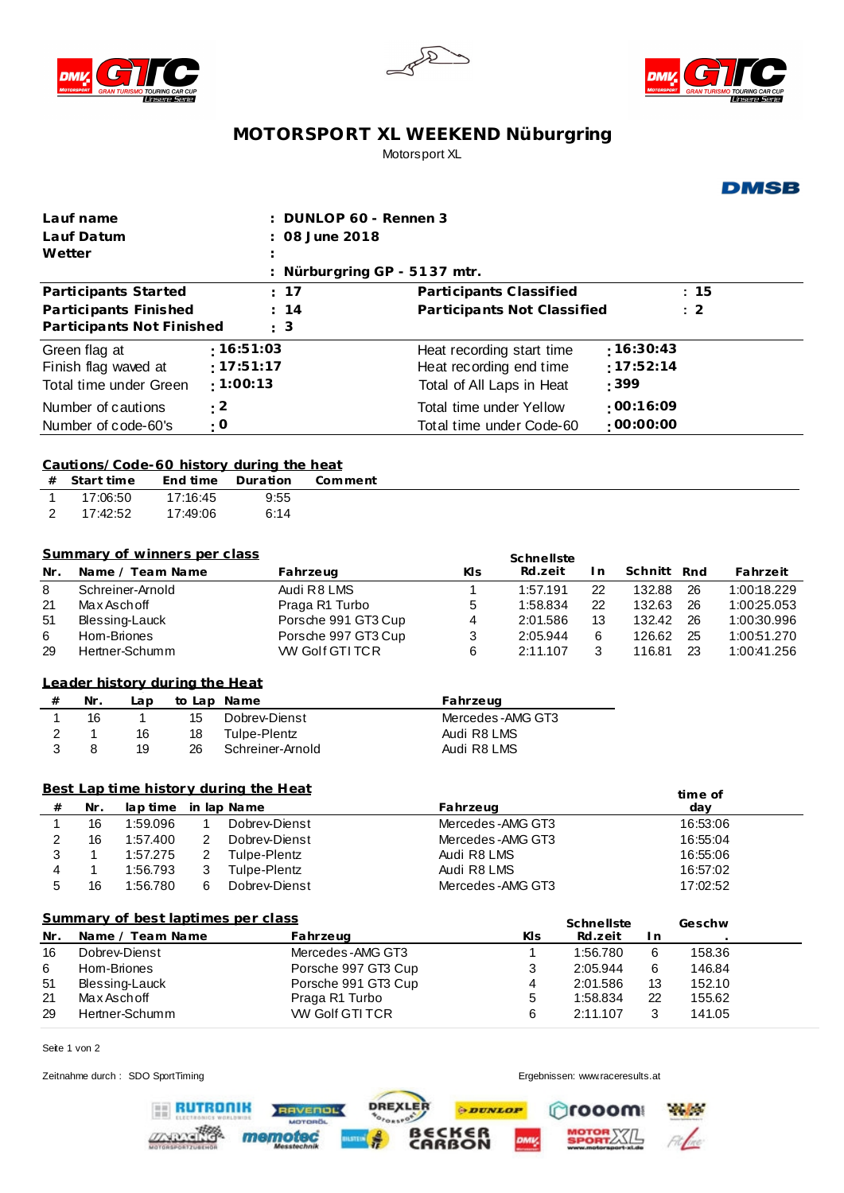





**DMSB** 

## **MOTORSPORT XL WEEKEND Nüburgring** Motorsport XL

|                                   | DUNLOP 60 - Rennen 3<br>Lauf name                             |                                |                |                                                 |                                      |                                                                  |            |            |           |          |             |
|-----------------------------------|---------------------------------------------------------------|--------------------------------|----------------|-------------------------------------------------|--------------------------------------|------------------------------------------------------------------|------------|------------|-----------|----------|-------------|
| Lauf Datum                        |                                                               |                                |                | 08 June 2018                                    |                                      |                                                                  |            |            |           |          |             |
| Wetter                            |                                                               |                                |                |                                                 |                                      |                                                                  |            |            |           |          |             |
|                                   |                                                               |                                |                |                                                 | Nürburgring GP - 5137 mtr.           |                                                                  |            |            |           |          |             |
|                                   |                                                               | Participants Started           |                | ÷.                                              | 17                                   |                                                                  |            |            |           | : 15     |             |
|                                   |                                                               |                                |                |                                                 |                                      | Participants Classified<br>Participants Not Classified           |            |            |           |          |             |
|                                   |                                                               | Participants Finished          |                |                                                 | 14                                   |                                                                  |            |            |           | $\div$ 2 |             |
|                                   |                                                               | Participants Not Finished      |                | ÷.                                              | 3                                    |                                                                  |            |            |           |          |             |
|                                   | Green flag at                                                 |                                |                | :16:51:03                                       |                                      | Heat recording start time                                        |            |            | :16:30:43 |          |             |
| :17:51:17<br>Finish flag waved at |                                                               |                                |                |                                                 | :17:52:14<br>Heat recording end time |                                                                  |            |            |           |          |             |
|                                   |                                                               | Total time under Green         |                | : 1:00:13<br>: 399<br>Total of All Laps in Heat |                                      |                                                                  |            |            |           |          |             |
|                                   |                                                               |                                |                |                                                 |                                      |                                                                  |            |            | :00:16:09 |          |             |
|                                   | : 2<br>Number of cautions<br>$\cdot$ O<br>Number of code-60's |                                |                |                                                 |                                      | Total time under Yellow<br>:00:00:00<br>Total time under Code-60 |            |            |           |          |             |
|                                   |                                                               |                                |                |                                                 |                                      |                                                                  |            |            |           |          |             |
|                                   |                                                               |                                |                |                                                 |                                      |                                                                  |            |            |           |          |             |
|                                   |                                                               |                                |                | Cautions/Code-60 history during the heat        |                                      |                                                                  |            |            |           |          |             |
| #                                 | Start time                                                    |                                | End time       | Duration                                        | Comment                              |                                                                  |            |            |           |          |             |
| 1                                 | 17:06:50                                                      |                                | 17:16:45       | 9:55                                            |                                      |                                                                  |            |            |           |          |             |
| $\overline{2}$                    | 17:42:52                                                      |                                | 17:49:06       | 6:14                                            |                                      |                                                                  |            |            |           |          |             |
|                                   |                                                               |                                |                |                                                 |                                      |                                                                  |            |            |           |          |             |
|                                   |                                                               | Summary of winners per class   |                |                                                 |                                      |                                                                  |            |            |           |          |             |
|                                   |                                                               |                                |                |                                                 |                                      |                                                                  | Schnellste |            |           |          |             |
| Nr.                               |                                                               | Name / Team Name               |                |                                                 | Fahrzeug                             | Kls                                                              | Rd.zeit    | I n        | Schnitt   | Rnd      | Fahrzeit    |
| 8                                 |                                                               | Schreiner-Arnold               |                |                                                 | Audi R8 LMS                          | 1                                                                | 1:57.191   | 22         | 132.88    | 26       | 1:00:18.229 |
| 21                                | Max Aschoff                                                   |                                |                |                                                 | Praga R1 Turbo                       | 5                                                                | 1:58.834   | 22         | 132.63    | 26       | 1:00:25.053 |
| 51                                |                                                               | Blessing-Lauck                 |                |                                                 | Porsche 991 GT3 Cup                  | 4                                                                | 2:01.586   | 13         | 132.42    | 26       | 1:00:30.996 |
| 6                                 |                                                               | Hom-Briones<br>Hertner-Schumm  |                |                                                 | Porsche 997 GT3 Cup                  | 3                                                                | 2:05.944   | 6          | 126.62    | 25<br>23 | 1:00:51.270 |
| 29                                |                                                               |                                |                |                                                 | WV Golf GTI TCR                      | 6                                                                | 2:11.107   | 3          | 116.81    |          | 1:00:41.256 |
|                                   |                                                               | Leader history during the Heat |                |                                                 |                                      |                                                                  |            |            |           |          |             |
|                                   |                                                               |                                |                |                                                 |                                      |                                                                  |            |            |           |          |             |
| #                                 | Nr.                                                           | Lap                            |                | to Lap Name                                     |                                      | Fahrzeug                                                         |            |            |           |          |             |
| 1                                 | 16                                                            | $\mathbf{1}$                   | 15             | Dobrey-Dienst                                   |                                      | Mercedes-AMG GT3                                                 |            |            |           |          |             |
| 2<br>3                            | 1<br>8                                                        | 16                             | 18             | <b>Tulpe-Plentz</b>                             |                                      | Audi R8 LMS                                                      |            |            |           |          |             |
|                                   |                                                               | 19                             | 26             | Schreiner-Arnold                                |                                      | Audi R8 LMS                                                      |            |            |           |          |             |
|                                   |                                                               |                                |                |                                                 |                                      |                                                                  |            |            |           |          |             |
|                                   |                                                               |                                |                | Best Lap time history during the Heat           |                                      |                                                                  |            |            |           | time of  |             |
| $^{\#}$                           | Nr.                                                           | lap time                       |                | in lap Name                                     |                                      | Fahrzeug                                                         |            |            |           | day      |             |
| 1                                 | 16                                                            | 1:59.096                       | 1              | Dobrey-Dienst                                   |                                      | Mercedes-AMG GT3                                                 |            |            |           | 16:53:06 |             |
| 2                                 | 16                                                            | 1:57.400                       | $\overline{c}$ | Dobrey-Dienst                                   |                                      | Mercedes-AMG GT3                                                 |            |            |           | 16:55:04 |             |
| 3                                 | 1                                                             | 1:57.275                       | 2              | Tulpe-Plentz                                    |                                      | Audi R8 LMS                                                      |            |            |           | 16:55:06 |             |
| 4                                 | 1                                                             | 1:56.793                       | 3              | Tulpe-Plentz                                    |                                      | Audi R8 LMS                                                      |            |            |           | 16:57:02 |             |
| 5                                 | 16                                                            | 1:56.780                       | 6              | Dobrev-Dienst                                   |                                      | Mercedes-AMG GT3                                                 |            |            |           | 17:02:52 |             |
|                                   |                                                               |                                |                |                                                 |                                      |                                                                  |            |            |           |          |             |
|                                   |                                                               |                                |                | Summary of best laptimes per class              |                                      |                                                                  |            | Schnellste |           | Geschw   |             |
| Nr.                               |                                                               | Name / Team Name               |                |                                                 | Fahrzeug                             |                                                                  | KIs        | Rd.zeit    | l n       |          |             |
| 16                                |                                                               | Dobrev-Dienst                  |                |                                                 | Mercedes-AMG GT3                     |                                                                  | 1          | 1:56.780   | 6         | 158.36   |             |
| 6                                 |                                                               | Hom-Briones                    |                |                                                 | Porsche 997 GT3 Cup                  |                                                                  | 3          | 2:05.944   | 6         | 146.84   |             |
| 51                                | Blessing-Lauck<br>Porsche 991 GT3 Cup                         |                                |                | 4                                               | 2:01.586                             | 13                                                               | 152.10     |            |           |          |             |
| 21                                |                                                               | Max Asch off                   |                |                                                 | Praga R1 Turbo                       |                                                                  | 5          | 1:58.834   | 22        | 155.62   |             |
| 29                                |                                                               | Hertner-Schumm                 |                |                                                 | <b>W Golf GTI TCR</b>                |                                                                  | 6          | 2:11.107   | 3         | 141.05   |             |

DREXLER

f.

**ILSTEIN** 

RAVENOL

memotec

**PDUNLOP** 

**BECKER** 

Seite 1 von 2

Zeitnahme durch : SDO SportTiming entertainment of the state of the state of the state of the Ergebnissen: www.raceresults.at

**ERUTRONIK** 

**ZARANTIC** 

**nooom** 

MOTOR XXIL

**Philosophere** 

 $FA$